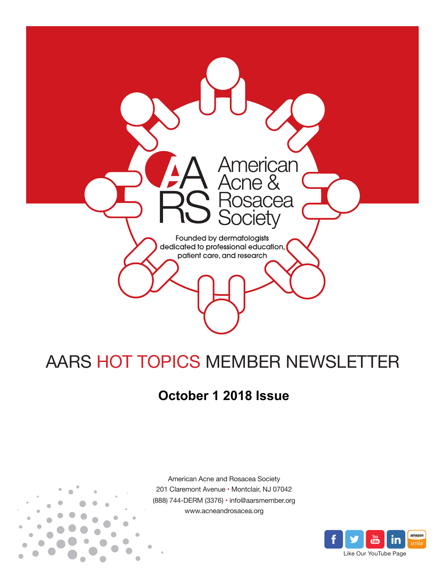

# AARS HOT TOPICS MEMBER NEWSLETTER

## **October 1 2018 Issue**



American Acne and Rosacea Society 201 Claremont Avenue • Montclair, NJ 07042 (888) 744-DERM (3376) • info@aarsmember.org www.acneandrosacea.org

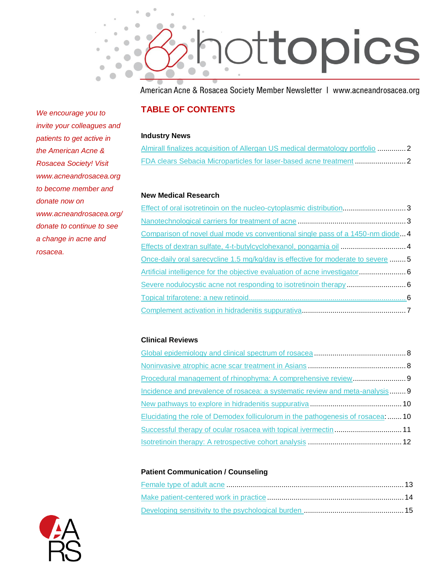

American Acne & Rosacea Society Member Newsletter | www.acneandrosacea.org

## **TABLE OF CONTENTS**

#### **Industry News**

|  |  | Almirall finalizes acquisition of Allergan US medical dermatology portfolio 2 |
|--|--|-------------------------------------------------------------------------------|
|  |  |                                                                               |

#### **New Medical Research**

| Comparison of novel dual mode vs conventional single pass of a 1450-nm diode4    |  |
|----------------------------------------------------------------------------------|--|
|                                                                                  |  |
| Once-daily oral sarecycline 1.5 mg/kg/day is effective for moderate to severe  5 |  |
| Artificial intelligence for the objective evaluation of acne investigator 6      |  |
|                                                                                  |  |
|                                                                                  |  |
|                                                                                  |  |

#### **Clinical Reviews**

| Incidence and prevalence of rosacea: a systematic review and meta-analysis 9     |  |
|----------------------------------------------------------------------------------|--|
|                                                                                  |  |
| Elucidating the role of Demodex folliculorum in the pathogenesis of rosacea:  10 |  |
|                                                                                  |  |
|                                                                                  |  |

#### **Patient Communication / Counseling**



*We encourage you to invite your colleagues and patients to get active in the American Acne & Rosacea Society! Visit www.acneandrosacea.org to become member and donate now on www.acneandrosacea.org/ donate to continue to see a change in acne and rosacea.*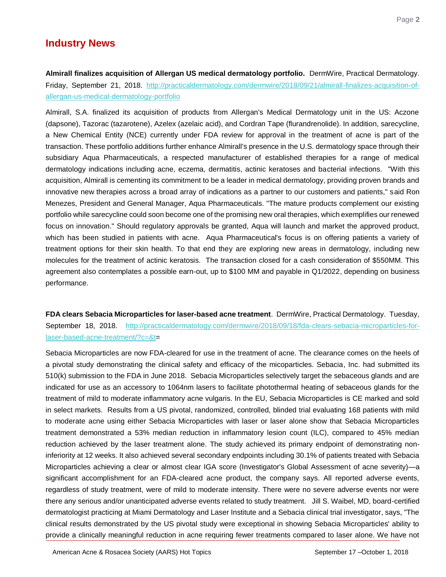## **Industry News**

<span id="page-2-0"></span>**Almirall finalizes acquisition of Allergan US medical dermatology portfolio.** DermWire, Practical Dermatology. Friday, September 21, 2018. [http://practicaldermatology.com/dermwire/2018/09/21/almirall-finalizes-acquisition-of](http://practicaldermatology.com/dermwire/2018/09/21/almirall-finalizes-acquisition-of-allergan-us-medical-dermatology-portfolio)[allergan-us-medical-dermatology-portfolio](http://practicaldermatology.com/dermwire/2018/09/21/almirall-finalizes-acquisition-of-allergan-us-medical-dermatology-portfolio)

Almirall, S.A. finalized its acquisition of products from Allergan's Medical Dermatology unit in the US: Aczone (dapsone), Tazorac (tazarotene), Azelex (azelaic acid), and Cordran Tape (flurandrenolide). In addition, sarecycline, a New Chemical Entity (NCE) currently under FDA review for approval in the treatment of acne is part of the transaction. These portfolio additions further enhance Almirall's presence in the U.S. dermatology space through their subsidiary Aqua Pharmaceuticals, a respected manufacturer of established therapies for a range of medical dermatology indications including acne, eczema, dermatitis, actinic keratoses and bacterial infections. "With this acquisition, Almirall is cementing its commitment to be a leader in medical dermatology, providing proven brands and innovative new therapies across a broad array of indications as a partner to our customers and patients," said Ron Menezes, President and General Manager, Aqua Pharmaceuticals. "The mature products complement our existing portfolio while sarecycline could soon become one of the promising new oral therapies, which exemplifies our renewed focus on innovation." Should regulatory approvals be granted, Aqua will launch and market the approved product, which has been studied in patients with acne. Aqua Pharmaceutical's focus is on offering patients a variety of treatment options for their skin health. To that end they are exploring new areas in dermatology, including new molecules for the treatment of actinic keratosis. The transaction closed for a cash consideration of \$550MM. This agreement also contemplates a possible earn-out, up to \$100 MM and payable in Q1/2022, depending on business performance.

<span id="page-2-1"></span>**FDA clears Sebacia Microparticles for laser-based acne treatment**. DermWire, Practical Dermatology. Tuesday, September 18, 2018. [http://practicaldermatology.com/dermwire/2018/09/18/fda-clears-sebacia-microparticles-for](http://practicaldermatology.com/dermwire/2018/09/18/fda-clears-sebacia-microparticles-for-laser-based-acne-treatment/?c=&t)[laser-based-acne-treatment/?c=&t=](http://practicaldermatology.com/dermwire/2018/09/18/fda-clears-sebacia-microparticles-for-laser-based-acne-treatment/?c=&t)

Sebacia Microparticles are now FDA-cleared for use in the treatment of acne. The clearance comes on the heels of a pivotal study demonstrating the clinical safety and efficacy of the micoparticles. Sebacia, Inc. had submitted its 510(k) submission to the FDA in June 2018. Sebacia Microparticles selectively target the sebaceous glands and are indicated for use as an accessory to 1064nm lasers to facilitate photothermal heating of sebaceous glands for the treatment of mild to moderate inflammatory acne vulgaris. In the EU, Sebacia Microparticles is CE marked and sold in select markets. Results from a US pivotal, randomized, controlled, blinded trial evaluating 168 patients with mild to moderate acne using either Sebacia Microparticles with laser or laser alone show that Sebacia Microparticles treatment demonstrated a 53% median reduction in inflammatory lesion count (ILC), compared to 45% median reduction achieved by the laser treatment alone. The study achieved its primary endpoint of demonstrating noninferiority at 12 weeks. It also achieved several secondary endpoints including 30.1% of patients treated with Sebacia Microparticles achieving a clear or almost clear IGA score (Investigator's Global Assessment of acne severity)—a significant accomplishment for an FDA-cleared acne product, the company says. All reported adverse events, regardless of study treatment, were of mild to moderate intensity. There were no severe adverse events nor were there any serious and/or unanticipated adverse events related to study treatment. Jill S. Waibel, MD, board-certified dermatologist practicing at Miami Dermatology and Laser Institute and a Sebacia clinical trial investigator, says, "The clinical results demonstrated by the US pivotal study were exceptional in showing Sebacia Microparticles' ability to provide a clinically meaningful reduction in acne requiring fewer treatments compared to laser alone. We have not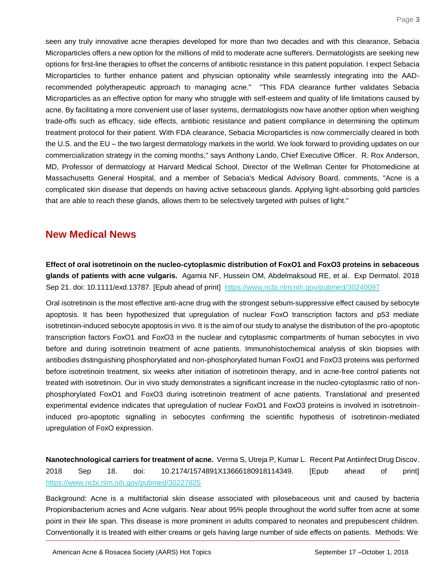seen any truly innovative acne therapies developed for more than two decades and with this clearance, Sebacia Microparticles offers a new option for the millions of mild to moderate acne sufferers. Dermatologists are seeking new options for first-line therapies to offset the concerns of antibiotic resistance in this patient population. I expect Sebacia Microparticles to further enhance patient and physician optionality while seamlessly integrating into the AADrecommended polytherapeutic approach to managing acne." "This FDA clearance further validates Sebacia Microparticles as an effective option for many who struggle with self-esteem and quality of life limitations caused by acne. By facilitating a more convenient use of laser systems, dermatologists now have another option when weighing trade-offs such as efficacy, side effects, antibiotic resistance and patient compliance in determining the optimum treatment protocol for their patient. With FDA clearance, Sebacia Microparticles is now commercially cleared in both the U.S. and the EU – the two largest dermatology markets in the world. We look forward to providing updates on our commercialization strategy in the coming months," says Anthony Lando, Chief Executive Officer. R. Rox Anderson, MD, Professor of dermatology at Harvard Medical School, Director of the Wellman Center for Photomedicine at Massachusetts General Hospital, and a member of Sebacia's Medical Advisory Board, comments, "Acne is a complicated skin disease that depends on having active sebaceous glands. Applying light-absorbing gold particles that are able to reach these glands, allows them to be selectively targeted with pulses of light."

## **New Medical News**

<span id="page-3-0"></span>**Effect of oral isotretinoin on the nucleo-cytoplasmic distribution of FoxO1 and FoxO3 proteins in sebaceous glands of patients with acne vulgaris.** Agamia NF, Hussein OM, Abdelmaksoud RE, et al. Exp Dermatol. 2018 Sep 21. doi: 10.1111/exd.13787. [Epub ahead of print] <https://www.ncbi.nlm.nih.gov/pubmed/30240097>

Oral isotretinoin is the most effective anti-acne drug with the strongest sebum-suppressive effect caused by sebocyte apoptosis. It has been hypothesized that upregulation of nuclear FoxO transcription factors and p53 mediate isotretinoin-induced sebocyte apoptosis in vivo. It is the aim of our study to analyse the distribution of the pro-apoptotic transcription factors FoxO1 and FoxO3 in the nuclear and cytoplasmic compartments of human sebocytes in vivo before and during isotretinoin treatment of acne patients. Immunohistochemical analysis of skin biopsies with antibodies distinguishing phosphorylated and non-phosphorylated human FoxO1 and FoxO3 proteins was performed before isotretinoin treatment, six weeks after initiation of isotretinoin therapy, and in acne-free control patients not treated with isotretinoin. Our in vivo study demonstrates a significant increase in the nucleo-cytoplasmic ratio of nonphosphorylated FoxO1 and FoxO3 during isotretinoin treatment of acne patients. Translational and presented experimental evidence indicates that upregulation of nuclear FoxO1 and FoxO3 proteins is involved in isotretinoininduced pro-apoptotic signalling in sebocytes confirming the scientific hypothesis of isotretinoin-mediated upregulation of FoxO expression.

<span id="page-3-1"></span>**Nanotechnological carriers for treatment of acne.** Verma S, Utreja P, Kumar L. Recent Pat Antiinfect Drug Discov. 2018 Sep 18. doi: 10.2174/1574891X13666180918114349. [Epub ahead of print] <https://www.ncbi.nlm.nih.gov/pubmed/30227825>

Background: Acne is a multifactorial skin disease associated with pilosebaceous unit and caused by bacteria Propionibacterium acnes and Acne vulgaris. Near about 95% people throughout the world suffer from acne at some point in their life span. This disease is more prominent in adults compared to neonates and prepubescent children. Conventionally it is treated with either creams or gels having large number of side effects on patients. Methods: We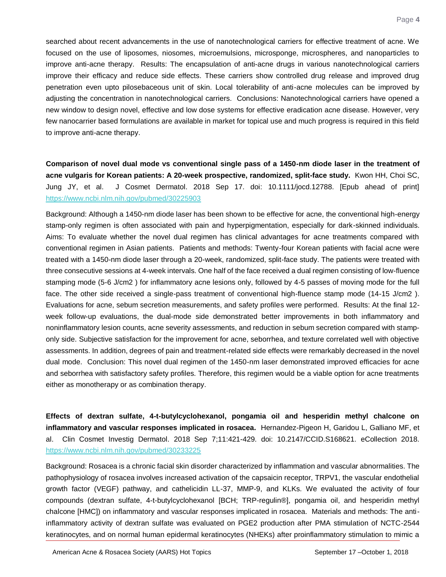searched about recent advancements in the use of nanotechnological carriers for effective treatment of acne. We focused on the use of liposomes, niosomes, microemulsions, microsponge, microspheres, and nanoparticles to improve anti-acne therapy. Results: The encapsulation of anti-acne drugs in various nanotechnological carriers improve their efficacy and reduce side effects. These carriers show controlled drug release and improved drug penetration even upto pilosebaceous unit of skin. Local tolerability of anti-acne molecules can be improved by adjusting the concentration in nanotechnological carriers. Conclusions: Nanotechnological carriers have opened a new window to design novel, effective and low dose systems for effective eradication acne disease. However, very few nanocarrier based formulations are available in market for topical use and much progress is required in this field to improve anti-acne therapy.

<span id="page-4-0"></span>**Comparison of novel dual mode vs conventional single pass of a 1450-nm diode laser in the treatment of acne vulgaris for Korean patients: A 20-week prospective, randomized, split-face study.** Kwon HH, Choi SC, Jung JY, et al. J Cosmet Dermatol. 2018 Sep 17. doi: 10.1111/jocd.12788. [Epub ahead of print] <https://www.ncbi.nlm.nih.gov/pubmed/30225903>

Background: Although a 1450-nm diode laser has been shown to be effective for acne, the conventional high-energy stamp-only regimen is often associated with pain and hyperpigmentation, especially for dark-skinned individuals. Aims: To evaluate whether the novel dual regimen has clinical advantages for acne treatments compared with conventional regimen in Asian patients. Patients and methods: Twenty-four Korean patients with facial acne were treated with a 1450-nm diode laser through a 20-week, randomized, split-face study. The patients were treated with three consecutive sessions at 4-week intervals. One half of the face received a dual regimen consisting of low-fluence stamping mode (5-6 J/cm2 ) for inflammatory acne lesions only, followed by 4-5 passes of moving mode for the full face. The other side received a single-pass treatment of conventional high-fluence stamp mode (14-15 J/cm2 ). Evaluations for acne, sebum secretion measurements, and safety profiles were performed. Results: At the final 12 week follow-up evaluations, the dual-mode side demonstrated better improvements in both inflammatory and noninflammatory lesion counts, acne severity assessments, and reduction in sebum secretion compared with stamponly side. Subjective satisfaction for the improvement for acne, seborrhea, and texture correlated well with objective assessments. In addition, degrees of pain and treatment-related side effects were remarkably decreased in the novel dual mode. Conclusion: This novel dual regimen of the 1450-nm laser demonstrated improved efficacies for acne and seborrhea with satisfactory safety profiles. Therefore, this regimen would be a viable option for acne treatments either as monotherapy or as combination therapy.

<span id="page-4-1"></span>**Effects of dextran sulfate, 4-t-butylcyclohexanol, pongamia oil and hesperidin methyl chalcone on inflammatory and vascular responses implicated in rosacea.** Hernandez-Pigeon H, Garidou L, Galliano MF, et al. Clin Cosmet Investig Dermatol. 2018 Sep 7;11:421-429. doi: 10.2147/CCID.S168621. eCollection 2018. <https://www.ncbi.nlm.nih.gov/pubmed/30233225>

Background: Rosacea is a chronic facial skin disorder characterized by inflammation and vascular abnormalities. The pathophysiology of rosacea involves increased activation of the capsaicin receptor, TRPV1, the vascular endothelial growth factor (VEGF) pathway, and cathelicidin LL-37, MMP-9, and KLKs. We evaluated the activity of four compounds (dextran sulfate, 4-t-butylcyclohexanol [BCH; TRP-regulin®], pongamia oil, and hesperidin methyl chalcone [HMC]) on inflammatory and vascular responses implicated in rosacea. Materials and methods: The antiinflammatory activity of dextran sulfate was evaluated on PGE2 production after PMA stimulation of NCTC-2544 keratinocytes, and on normal human epidermal keratinocytes (NHEKs) after proinflammatory stimulation to mimic a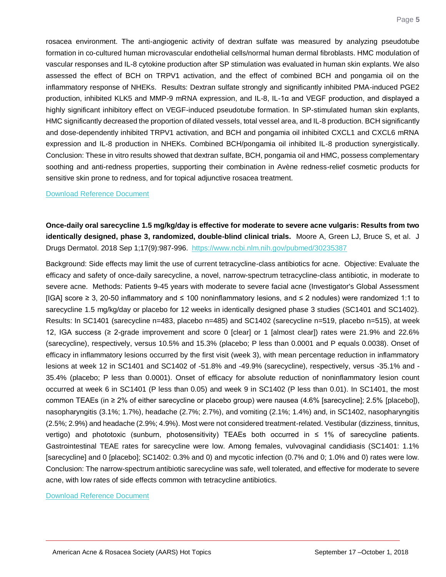rosacea environment. The anti-angiogenic activity of dextran sulfate was measured by analyzing pseudotube formation in co-cultured human microvascular endothelial cells/normal human dermal fibroblasts. HMC modulation of vascular responses and IL-8 cytokine production after SP stimulation was evaluated in human skin explants. We also assessed the effect of BCH on TRPV1 activation, and the effect of combined BCH and pongamia oil on the inflammatory response of NHEKs. Results: Dextran sulfate strongly and significantly inhibited PMA-induced PGE2 production, inhibited KLK5 and MMP-9 mRNA expression, and IL-8, IL-1α and VEGF production, and displayed a highly significant inhibitory effect on VEGF-induced pseudotube formation. In SP-stimulated human skin explants, HMC significantly decreased the proportion of dilated vessels, total vessel area, and IL-8 production. BCH significantly and dose-dependently inhibited TRPV1 activation, and BCH and pongamia oil inhibited CXCL1 and CXCL6 mRNA expression and IL-8 production in NHEKs. Combined BCH/pongamia oil inhibited IL-8 production synergistically. Conclusion: These in vitro results showed that dextran sulfate, BCH, pongamia oil and HMC, possess complementary soothing and anti-redness properties, supporting their combination in Avène redness-relief cosmetic products for sensitive skin prone to redness, and for topical adjunctive rosacea treatment.

#### [Download Reference Document](http://files.constantcontact.com/c2fa20d1101/41a1f11c-44ab-4cb7-b26f-9c65564941bd.pdf)

<span id="page-5-0"></span>**Once-daily oral sarecycline 1.5 mg/kg/day is effective for moderate to severe acne vulgaris: Results from two identically designed, phase 3, randomized, double-blind clinical trials.** Moore A, Green LJ, Bruce S, et al. J Drugs Dermatol. 2018 Sep 1;17(9):987-996.<https://www.ncbi.nlm.nih.gov/pubmed/30235387>

Background: Side effects may limit the use of current tetracycline-class antibiotics for acne. Objective: Evaluate the efficacy and safety of once-daily sarecycline, a novel, narrow-spectrum tetracycline-class antibiotic, in moderate to severe acne. Methods: Patients 9-45 years with moderate to severe facial acne (Investigator's Global Assessment [IGA] score ≥ 3, 20-50 inflammatory and ≤ 100 noninflammatory lesions, and ≤ 2 nodules) were randomized 1:1 to sarecycline 1.5 mg/kg/day or placebo for 12 weeks in identically designed phase 3 studies (SC1401 and SC1402). Results: In SC1401 (sarecycline n=483, placebo n=485) and SC1402 (sarecycline n=519, placebo n=515), at week 12, IGA success (≥ 2-grade improvement and score 0 [clear] or 1 [almost clear]) rates were 21.9% and 22.6% (sarecycline), respectively, versus 10.5% and 15.3% (placebo; P less than 0.0001 and P equals 0.0038). Onset of efficacy in inflammatory lesions occurred by the first visit (week 3), with mean percentage reduction in inflammatory lesions at week 12 in SC1401 and SC1402 of -51.8% and -49.9% (sarecycline), respectively, versus -35.1% and - 35.4% (placebo; P less than 0.0001). Onset of efficacy for absolute reduction of noninflammatory lesion count occurred at week 6 in SC1401 (P less than 0.05) and week 9 in SC1402 (P less than 0.01). In SC1401, the most common TEAEs (in ≥ 2% of either sarecycline or placebo group) were nausea (4.6% [sarecycline]; 2.5% [placebo]), nasopharyngitis (3.1%; 1.7%), headache (2.7%; 2.7%), and vomiting (2.1%; 1.4%) and, in SC1402, nasopharyngitis (2.5%; 2.9%) and headache (2.9%; 4.9%). Most were not considered treatment-related. Vestibular (dizziness, tinnitus, vertigo) and phototoxic (sunburn, photosensitivity) TEAEs both occurred in ≤ 1% of sarecycline patients. Gastrointestinal TEAE rates for sarecycline were low. Among females, vulvovaginal candidiasis (SC1401: 1.1% [sarecycline] and 0 [placebo]; SC1402: 0.3% and 0) and mycotic infection (0.7% and 0; 1.0% and 0) rates were low. Conclusion: The narrow-spectrum antibiotic sarecycline was safe, well tolerated, and effective for moderate to severe acne, with low rates of side effects common with tetracycline antibiotics.

[Download Reference Document](http://files.constantcontact.com/c2fa20d1101/dd3fc4b8-debe-495f-b8db-4b4adc7657d2.pdf)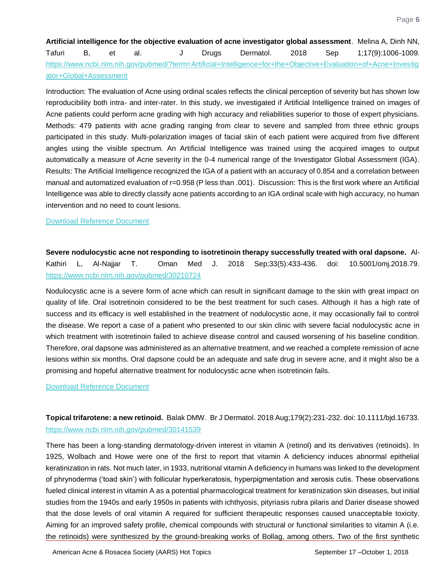<span id="page-6-0"></span>**Artificial intelligence for the objective evaluation of acne investigator global assessment**. Melina A, Dinh NN, Tafuri B, et al. J Drugs Dermatol. 2018 Sep 1;17(9):1006-1009. [https://www.ncbi.nlm.nih.gov/pubmed/?term=Artificial+Intelligence+for+the+Objective+Evaluation+of+Acne+Investig](https://www.ncbi.nlm.nih.gov/pubmed/?term=Artificial+Intelligence+for+the+Objective+Evaluation+of+Acne+Investigator+Global+Assessment) [ator+Global+Assessment](https://www.ncbi.nlm.nih.gov/pubmed/?term=Artificial+Intelligence+for+the+Objective+Evaluation+of+Acne+Investigator+Global+Assessment)

Introduction: The evaluation of Acne using ordinal scales reflects the clinical perception of severity but has shown low reproducibility both intra- and inter-rater. In this study, we investigated if Artificial Intelligence trained on images of Acne patients could perform acne grading with high accuracy and reliabilities superior to those of expert physicians. Methods: 479 patients with acne grading ranging from clear to severe and sampled from three ethnic groups participated in this study. Multi-polarization images of facial skin of each patient were acquired from five different angles using the visible spectrum. An Artificial Intelligence was trained using the acquired images to output automatically a measure of Acne severity in the 0-4 numerical range of the Investigator Global Assessment (IGA). Results: The Artificial Intelligence recognized the IGA of a patient with an accuracy of 0.854 and a correlation between manual and automatized evaluation of r=0.958 (P less than .001). Discussion: This is the first work where an Artificial Intelligence was able to directly classify acne patients according to an IGA ordinal scale with high accuracy, no human intervention and no need to count lesions.

#### [Download Reference Document](http://files.constantcontact.com/c2fa20d1101/e63a2b7f-5bf9-425c-b93d-ba859fd8e42d.pdf)

<span id="page-6-1"></span>**Severe nodulocystic acne not responding to isotretinoin therapy successfully treated with oral dapsone.** Al-Kathiri L, Al-Najjar T. Oman Med J. 2018 Sep;33(5):433-436. doi: 10.5001/omj.2018.79. <https://www.ncbi.nlm.nih.gov/pubmed/30210724>

Nodulocystic acne is a severe form of acne which can result in significant damage to the skin with great impact on quality of life. Oral isotretinoin considered to be the best treatment for such cases. Although it has a high rate of success and its efficacy is well established in the treatment of nodulocystic acne, it may occasionally fail to control the disease. We report a case of a patient who presented to our skin clinic with severe facial nodulocystic acne in which treatment with isotretinoin failed to achieve disease control and caused worsening of his baseline condition. Therefore, oral dapsone was administered as an alternative treatment, and we reached a complete remission of acne lesions within six months. Oral dapsone could be an adequate and safe drug in severe acne, and it might also be a promising and hopeful alternative treatment for nodulocystic acne when isotretinoin fails.

#### [Download Reference Document](http://files.constantcontact.com/c2fa20d1101/b9bcae28-99fd-4ebc-ab8e-bc697b10d88e.pdf)

<span id="page-6-2"></span>**Topical trifarotene: a new retinoid.** Balak DMW. Br J Dermatol. 2018 Aug;179(2):231-232. doi: 10.1111/bjd.16733. <https://www.ncbi.nlm.nih.gov/pubmed/30141539>

There has been a long‐standing dermatology‐driven interest in vitamin A (retinol) and its derivatives (retinoids). In 1925, Wolbach and Howe were one of the first to report that vitamin A deficiency induces abnormal epithelial keratinization in rats. Not much later, in 1933, nutritional vitamin A deficiency in humans was linked to the development of phrynoderma ('toad skin') with follicular hyperkeratosis, hyperpigmentation and xerosis cutis. These observations fueled clinical interest in vitamin A as a potential pharmacological treatment for keratinization skin diseases, but initial studies from the 1940s and early 1950s in patients with ichthyosis, pityriasis rubra pilaris and Darier disease showed that the dose levels of oral vitamin A required for sufficient therapeutic responses caused unacceptable toxicity. Aiming for an improved safety profile, chemical compounds with structural or functional similarities to vitamin A (i.e. the retinoids) were synthesized by the ground‐breaking works of Bollag, among others. Two of the first synthetic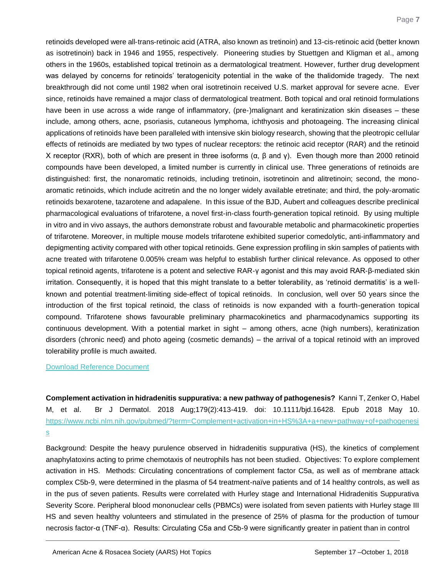retinoids developed were all‐trans‐retinoic acid (ATRA, also known as tretinoin) and 13‐cis‐retinoic acid (better known as isotretinoin) back in 1946 and 1955, respectively. Pioneering studies by Stuettgen and Kligman et al., among others in the 1960s, established topical tretinoin as a dermatological treatment. However, further drug development was delayed by concerns for retinoids' teratogenicity potential in the wake of the thalidomide tragedy. The next breakthrough did not come until 1982 when oral isotretinoin received U.S. market approval for severe acne. Ever since, retinoids have remained a major class of dermatological treatment. Both topical and oral retinoid formulations have been in use across a wide range of inflammatory, (pre‐)malignant and keratinization skin diseases – these include, among others, acne, psoriasis, cutaneous lymphoma, ichthyosis and photoageing. The increasing clinical applications of retinoids have been paralleled with intensive skin biology research, showing that the pleotropic cellular effects of retinoids are mediated by two types of nuclear receptors: the retinoic acid receptor (RAR) and the retinoid X receptor (RXR), both of which are present in three isoforms ( $\alpha$ ,  $\beta$  and γ). Even though more than 2000 retinoid compounds have been developed, a limited number is currently in clinical use. Three generations of retinoids are distinguished: first, the nonaromatic retinoids, including tretinoin, isotretinoin and alitretinoin; second, the mono‐ aromatic retinoids, which include acitretin and the no longer widely available etretinate; and third, the poly‐aromatic retinoids bexarotene, tazarotene and adapalene. In this issue of the BJD, Aubert and colleagues describe preclinical pharmacological evaluations of trifarotene, a novel first‐in‐class fourth‐generation topical retinoid. By using multiple in vitro and in vivo assays, the authors demonstrate robust and favourable metabolic and pharmacokinetic properties of trifarotene. Moreover, in multiple mouse models trifarotene exhibited superior comedolytic, anti‐inflammatory and depigmenting activity compared with other topical retinoids. Gene expression profiling in skin samples of patients with acne treated with trifarotene 0.005% cream was helpful to establish further clinical relevance. As opposed to other topical retinoid agents, trifarotene is a potent and selective RAR‐γ agonist and this may avoid RAR‐β‐mediated skin irritation. Consequently, it is hoped that this might translate to a better tolerability, as 'retinoid dermatitis' is a well‐ known and potential treatment‐limiting side‐effect of topical retinoids. In conclusion, well over 50 years since the introduction of the first topical retinoid, the class of retinoids is now expanded with a fourth‐generation topical compound. Trifarotene shows favourable preliminary pharmacokinetics and pharmacodynamics supporting its continuous development. With a potential market in sight – among others, acne (high numbers), keratinization disorders (chronic need) and photo ageing (cosmetic demands) – the arrival of a topical retinoid with an improved tolerability profile is much awaited.

#### [Download Reference Document](http://files.constantcontact.com/c2fa20d1101/168d4b51-f8fb-4293-8ac1-f19212fc545e.pdf)

<span id="page-7-0"></span>**Complement activation in hidradenitis suppurativa: a new pathway of pathogenesis?** Kanni T, Zenker O, Habel M, et al. Br J Dermatol. 2018 Aug;179(2):413-419. doi: 10.1111/bjd.16428. Epub 2018 May 10. [https://www.ncbi.nlm.nih.gov/pubmed/?term=Complement+activation+in+HS%3A+a+new+pathway+of+pathogenesi](https://www.ncbi.nlm.nih.gov/pubmed/?term=Complement+activation+in+HS%3A+a+new+pathway+of+pathogenesis) [s](https://www.ncbi.nlm.nih.gov/pubmed/?term=Complement+activation+in+HS%3A+a+new+pathway+of+pathogenesis)

Background: Despite the heavy purulence observed in hidradenitis suppurativa (HS), the kinetics of complement anaphylatoxins acting to prime chemotaxis of neutrophils has not been studied. Objectives: To explore complement activation in HS. Methods: Circulating concentrations of complement factor C5a, as well as of membrane attack complex C5b-9, were determined in the plasma of 54 treatment-naïve patients and of 14 healthy controls, as well as in the pus of seven patients. Results were correlated with Hurley stage and International Hidradenitis Suppurativa Severity Score. Peripheral blood mononuclear cells (PBMCs) were isolated from seven patients with Hurley stage III HS and seven healthy volunteers and stimulated in the presence of 25% of plasma for the production of tumour necrosis factor-α (TNF-α). Results: Circulating C5a and C5b-9 were significantly greater in patient than in control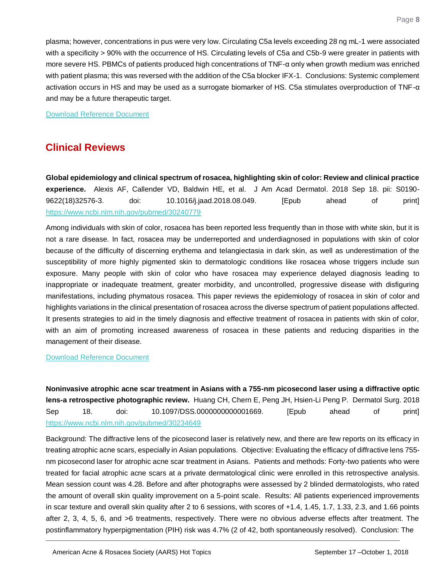plasma; however, concentrations in pus were very low. Circulating C5a levels exceeding 28 ng mL-1 were associated with a specificity > 90% with the occurrence of HS. Circulating levels of C5a and C5b-9 were greater in patients with more severe HS. PBMCs of patients produced high concentrations of TNF-α only when growth medium was enriched with patient plasma; this was reversed with the addition of the C5a blocker IFX-1. Conclusions: Systemic complement activation occurs in HS and may be used as a surrogate biomarker of HS. C5a stimulates overproduction of TNF-α and may be a future therapeutic target.

[Download Reference Document](http://files.constantcontact.com/c2fa20d1101/2aff7583-c87b-46d9-8d89-5dcd09a093a8.pdf)

## **Clinical Reviews**

<span id="page-8-0"></span>**Global epidemiology and clinical spectrum of rosacea, highlighting skin of color: Review and clinical practice experience.** Alexis AF, Callender VD, Baldwin HE, et al. J Am Acad Dermatol. 2018 Sep 18. pii: S0190- 9622(18)32576-3. doi: 10.1016/j.jaad.2018.08.049. [Epub ahead of print] <https://www.ncbi.nlm.nih.gov/pubmed/30240779>

Among individuals with skin of color, rosacea has been reported less frequently than in those with white skin, but it is not a rare disease. In fact, rosacea may be underreported and underdiagnosed in populations with skin of color because of the difficulty of discerning erythema and telangiectasia in dark skin, as well as underestimation of the susceptibility of more highly pigmented skin to dermatologic conditions like rosacea whose triggers include sun exposure. Many people with skin of color who have rosacea may experience delayed diagnosis leading to inappropriate or inadequate treatment, greater morbidity, and uncontrolled, progressive disease with disfiguring manifestations, including phymatous rosacea. This paper reviews the epidemiology of rosacea in skin of color and highlights variations in the clinical presentation of rosacea across the diverse spectrum of patient populations affected. It presents strategies to aid in the timely diagnosis and effective treatment of rosacea in patients with skin of color, with an aim of promoting increased awareness of rosacea in these patients and reducing disparities in the management of their disease.

#### [Download Reference Document](http://files.constantcontact.com/c2fa20d1101/962159c5-cc0d-420a-b09e-f64c4930d70d.pdf)

<span id="page-8-1"></span>**Noninvasive atrophic acne scar treatment in Asians with a 755-nm picosecond laser using a diffractive optic lens-a retrospective photographic review.** Huang CH, Chern E, Peng JH, Hsien-Li Peng P. Dermatol Surg. 2018 Sep 18. doi: 10.1097/DSS.0000000000001669. [Epub ahead of print] <https://www.ncbi.nlm.nih.gov/pubmed/30234649>

Background: The diffractive lens of the picosecond laser is relatively new, and there are few reports on its efficacy in treating atrophic acne scars, especially in Asian populations. Objective: Evaluating the efficacy of diffractive lens 755 nm picosecond laser for atrophic acne scar treatment in Asians. Patients and methods: Forty-two patients who were treated for facial atrophic acne scars at a private dermatological clinic were enrolled in this retrospective analysis. Mean session count was 4.28. Before and after photographs were assessed by 2 blinded dermatologists, who rated the amount of overall skin quality improvement on a 5-point scale. Results: All patients experienced improvements in scar texture and overall skin quality after 2 to 6 sessions, with scores of +1.4, 1.45, 1.7, 1.33, 2.3, and 1.66 points after 2, 3, 4, 5, 6, and >6 treatments, respectively. There were no obvious adverse effects after treatment. The postinflammatory hyperpigmentation (PIH) risk was 4.7% (2 of 42, both spontaneously resolved). Conclusion: The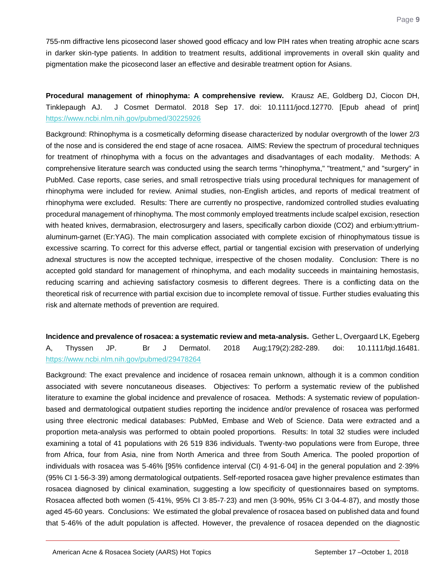755-nm diffractive lens picosecond laser showed good efficacy and low PIH rates when treating atrophic acne scars in darker skin-type patients. In addition to treatment results, additional improvements in overall skin quality and pigmentation make the picosecond laser an effective and desirable treatment option for Asians.

<span id="page-9-0"></span>**Procedural management of rhinophyma: A comprehensive review.** Krausz AE, Goldberg DJ, Ciocon DH, Tinklepaugh AJ. J Cosmet Dermatol. 2018 Sep 17. doi: 10.1111/jocd.12770. [Epub ahead of print] <https://www.ncbi.nlm.nih.gov/pubmed/30225926>

Background: Rhinophyma is a cosmetically deforming disease characterized by nodular overgrowth of the lower 2/3 of the nose and is considered the end stage of acne rosacea. AIMS: Review the spectrum of procedural techniques for treatment of rhinophyma with a focus on the advantages and disadvantages of each modality. Methods: A comprehensive literature search was conducted using the search terms "rhinophyma," "treatment," and "surgery" in PubMed. Case reports, case series, and small retrospective trials using procedural techniques for management of rhinophyma were included for review. Animal studies, non-English articles, and reports of medical treatment of rhinophyma were excluded. Results: There are currently no prospective, randomized controlled studies evaluating procedural management of rhinophyma. The most commonly employed treatments include scalpel excision, resection with heated knives, dermabrasion, electrosurgery and lasers, specifically carbon dioxide (CO2) and erbium:yttriumaluminum-garnet (Er:YAG). The main complication associated with complete excision of rhinophymatous tissue is excessive scarring. To correct for this adverse effect, partial or tangential excision with preservation of underlying adnexal structures is now the accepted technique, irrespective of the chosen modality. Conclusion: There is no accepted gold standard for management of rhinophyma, and each modality succeeds in maintaining hemostasis, reducing scarring and achieving satisfactory cosmesis to different degrees. There is a conflicting data on the theoretical risk of recurrence with partial excision due to incomplete removal of tissue. Further studies evaluating this risk and alternate methods of prevention are required.

<span id="page-9-1"></span>**Incidence and prevalence of rosacea: a systematic review and meta-analysis.** Gether L, Overgaard LK, Egeberg A, Thyssen JP. Br J Dermatol. 2018 Aug;179(2):282-289. doi: 10.1111/bjd.16481. <https://www.ncbi.nlm.nih.gov/pubmed/29478264>

Background: The exact prevalence and incidence of rosacea remain unknown, although it is a common condition associated with severe noncutaneous diseases. Objectives: To perform a systematic review of the published literature to examine the global incidence and prevalence of rosacea. Methods: A systematic review of populationbased and dermatological outpatient studies reporting the incidence and/or prevalence of rosacea was performed using three electronic medical databases: PubMed, Embase and Web of Science. Data were extracted and a proportion meta-analysis was performed to obtain pooled proportions. Results: In total 32 studies were included examining a total of 41 populations with 26 519 836 individuals. Twenty-two populations were from Europe, three from Africa, four from Asia, nine from North America and three from South America. The pooled proportion of individuals with rosacea was 5·46% [95% confidence interval (CI) 4·91-6·04] in the general population and 2·39% (95% CI 1·56-3·39) among dermatological outpatients. Self-reported rosacea gave higher prevalence estimates than rosacea diagnosed by clinical examination, suggesting a low specificity of questionnaires based on symptoms. Rosacea affected both women (5·41%, 95% CI 3·85-7·23) and men (3·90%, 95% CI 3·04-4·87), and mostly those aged 45-60 years. Conclusions: We estimated the global prevalence of rosacea based on published data and found that 5·46% of the adult population is affected. However, the prevalence of rosacea depended on the diagnostic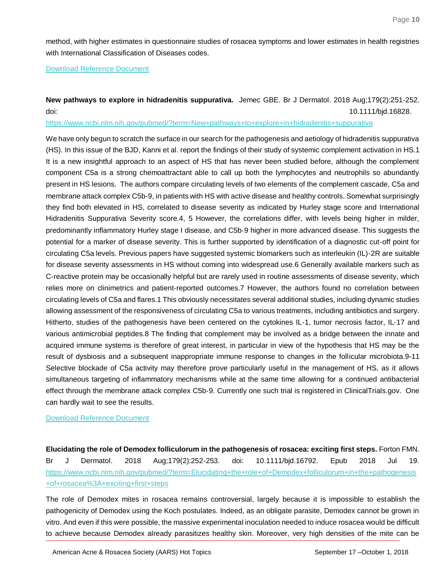method, with higher estimates in questionnaire studies of rosacea symptoms and lower estimates in health registries with International Classification of Diseases codes.

[Download Reference Document](http://files.constantcontact.com/c2fa20d1101/e28365c4-8797-4a06-9e7b-f159912e9400.pdf)

<span id="page-10-0"></span>**New pathways to explore in hidradenitis suppurativa.** Jemec GBE. Br J Dermatol. 2018 Aug;179(2):251-252. doi: 10.1111/bjd.16828.

<https://www.ncbi.nlm.nih.gov/pubmed/?term=New+pathways+to+explore+in+hidradenitis+suppurativa>

We have only begun to scratch the surface in our search for the pathogenesis and aetiology of hidradenitis suppurativa (HS). In this issue of the BJD, Kanni et al. report the findings of their study of systemic complement activation in HS.1 It is a new insightful approach to an aspect of HS that has never been studied before, although the complement component C5a is a strong chemoattractant able to call up both the lymphocytes and neutrophils so abundantly present in HS lesions. The authors compare circulating levels of two elements of the complement cascade, C5a and membrane attack complex C5b‐9, in patients with HS with active disease and healthy controls. Somewhat surprisingly they find both elevated in HS, correlated to disease severity as indicated by Hurley stage score and International Hidradenitis Suppurativa Severity score.4, 5 However, the correlations differ, with levels being higher in milder, predominantly inflammatory Hurley stage I disease, and C5b‐9 higher in more advanced disease. This suggests the potential for a marker of disease severity. This is further supported by identification of a diagnostic cut‐off point for circulating C5a levels. Previous papers have suggested systemic biomarkers such as interleukin (IL)‐2R are suitable for disease severity assessments in HS without coming into widespread use.6 Generally available markers such as C‐reactive protein may be occasionally helpful but are rarely used in routine assessments of disease severity, which relies more on clinimetrics and patient‐reported outcomes.7 However, the authors found no correlation between circulating levels of C5a and flares.1 This obviously necessitates several additional studies, including dynamic studies allowing assessment of the responsiveness of circulating C5a to various treatments, including antibiotics and surgery. Hitherto, studies of the pathogenesis have been centered on the cytokines IL‐1, tumor necrosis factor, IL‐17 and various antimicrobial peptides.8 The finding that complement may be involved as a bridge between the innate and acquired immune systems is therefore of great interest, in particular in view of the hypothesis that HS may be the result of dysbiosis and a subsequent inappropriate immune response to changes in the follicular microbiota.9-11 Selective blockade of C5a activity may therefore prove particularly useful in the management of HS, as it allows simultaneous targeting of inflammatory mechanisms while at the same time allowing for a continued antibacterial effect through the membrane attack complex C5b‐9. Currently one such trial is registered in ClinicalTrials.gov. One can hardly wait to see the results.

#### [Download Reference Document](http://files.constantcontact.com/c2fa20d1101/7c04a22f-94a1-4b94-8f13-48586360c485.pdf)

<span id="page-10-1"></span>**Elucidating the role of Demodex folliculorum in the pathogenesis of rosacea: exciting first steps.** Forton FMN. Br J Dermatol. 2018 Aug;179(2):252-253. doi: 10.1111/bjd.16792. Epub 2018 Jul 19. [https://www.ncbi.nlm.nih.gov/pubmed/?term=Elucidating+the+role+of+Demodex+folliculorum+in+the+pathogenesis](https://www.ncbi.nlm.nih.gov/pubmed/?term=Elucidating+the+role+of+Demodex+folliculorum+in+the+pathogenesis+of+rosacea%3A+exciting+first+steps) [+of+rosacea%3A+exciting+first+steps](https://www.ncbi.nlm.nih.gov/pubmed/?term=Elucidating+the+role+of+Demodex+folliculorum+in+the+pathogenesis+of+rosacea%3A+exciting+first+steps)

The role of Demodex mites in rosacea remains controversial, largely because it is impossible to establish the pathogenicity of Demodex using the Koch postulates. Indeed, as an obligate parasite, Demodex cannot be grown in vitro. And even if this were possible, the massive experimental inoculation needed to induce rosacea would be difficult to achieve because Demodex already parasitizes healthy skin. Moreover, very high densities of the mite can be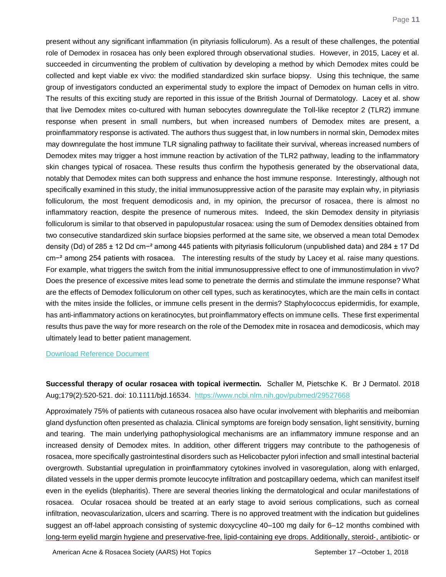present without any significant inflammation (in pityriasis folliculorum). As a result of these challenges, the potential role of Demodex in rosacea has only been explored through observational studies. However, in 2015, Lacey et al. succeeded in circumventing the problem of cultivation by developing a method by which Demodex mites could be collected and kept viable ex vivo: the modified standardized skin surface biopsy. Using this technique, the same group of investigators conducted an experimental study to explore the impact of Demodex on human cells in vitro. The results of this exciting study are reported in this issue of the British Journal of Dermatology. Lacey et al. show that live Demodex mites co‐cultured with human sebocytes downregulate the Toll‐like receptor 2 (TLR2) immune response when present in small numbers, but when increased numbers of Demodex mites are present, a proinflammatory response is activated. The authors thus suggest that, in low numbers in normal skin, Demodex mites may downregulate the host immune TLR signaling pathway to facilitate their survival, whereas increased numbers of Demodex mites may trigger a host immune reaction by activation of the TLR2 pathway, leading to the inflammatory skin changes typical of rosacea. These results thus confirm the hypothesis generated by the observational data, notably that Demodex mites can both suppress and enhance the host immune response. Interestingly, although not specifically examined in this study, the initial immunosuppressive action of the parasite may explain why, in pityriasis folliculorum, the most frequent demodicosis and, in my opinion, the precursor of rosacea, there is almost no inflammatory reaction, despite the presence of numerous mites. Indeed, the skin Demodex density in pityriasis folliculorum is similar to that observed in papulopustular rosacea: using the sum of Demodex densities obtained from two consecutive standardized skin surface biopsies performed at the same site, we observed a mean total Demodex density (Dd) of 285 ± 12 Dd cm−² among 445 patients with pityriasis folliculorum (unpublished data) and 284 ± 17 Dd cm−² among 254 patients with rosacea. The interesting results of the study by Lacey et al. raise many questions. For example, what triggers the switch from the initial immunosuppressive effect to one of immunostimulation in vivo? Does the presence of excessive mites lead some to penetrate the dermis and stimulate the immune response? What are the effects of Demodex folliculorum on other cell types, such as keratinocytes, which are the main cells in contact with the mites inside the follicles, or immune cells present in the dermis? Staphylococcus epidermidis, for example, has anti‐inflammatory actions on keratinocytes, but proinflammatory effects on immune cells. These first experimental results thus pave the way for more research on the role of the Demodex mite in rosacea and demodicosis, which may ultimately lead to better patient management.

#### [Download Reference Document](http://files.constantcontact.com/c2fa20d1101/6b97c7f7-be3a-414d-8d16-7fb9f52a2f8b.pdf)

<span id="page-11-0"></span>**Successful therapy of ocular rosacea with topical ivermectin.** Schaller M, Pietschke K. Br J Dermatol. 2018 Aug;179(2):520-521. doi: 10.1111/bjd.16534. <https://www.ncbi.nlm.nih.gov/pubmed/29527668>

Approximately 75% of patients with cutaneous rosacea also have ocular involvement with blepharitis and meibomian gland dysfunction often presented as chalazia. Clinical symptoms are foreign body sensation, light sensitivity, burning and tearing. The main underlying pathophysiological mechanisms are an inflammatory immune response and an increased density of Demodex mites. In addition, other different triggers may contribute to the pathogenesis of rosacea, more specifically gastrointestinal disorders such as Helicobacter pylori infection and small intestinal bacterial overgrowth. Substantial upregulation in proinflammatory cytokines involved in vasoregulation, along with enlarged, dilated vessels in the upper dermis promote leucocyte infiltration and postcapillary oedema, which can manifest itself even in the eyelids (blepharitis). There are several theories linking the dermatological and ocular manifestations of rosacea. Ocular rosacea should be treated at an early stage to avoid serious complications, such as corneal infiltration, neovascularization, ulcers and scarring. There is no approved treatment with the indication but guidelines suggest an off-label approach consisting of systemic doxycycline 40–100 mg daily for 6–12 months combined with long‐term eyelid margin hygiene and preservative‐free, lipid‐containing eye drops. Additionally, steroid‐, antibiotic‐ or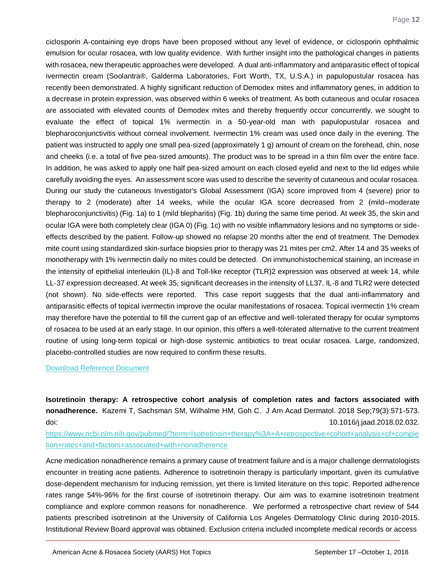ciclosporin A‐containing eye drops have been proposed without any level of evidence, or ciclosporin ophthalmic emulsion for ocular rosacea, with low quality evidence. With further insight into the pathological changes in patients with rosacea, new therapeutic approaches were developed. A dual anti-inflammatory and antiparasitic effect of topical ivermectin cream (Soolantra®, Galderma Laboratories, Fort Worth, TX, U.S.A.) in papulopustular rosacea has recently been demonstrated. A highly significant reduction of Demodex mites and inflammatory genes, in addition to a decrease in protein expression, was observed within 6 weeks of treatment. As both cutaneous and ocular rosacea are associated with elevated counts of Demodex mites and thereby frequently occur concurrently, we sought to evaluate the effect of topical 1% ivermectin in a 50-year-old man with papulopustular rosacea and blepharoconjunctivitis without corneal involvement. Ivermectin 1% cream was used once daily in the evening. The patient was instructed to apply one small pea‐sized (approximately 1 g) amount of cream on the forehead, chin, nose and cheeks (i.e. a total of five pea‐sized amounts). The product was to be spread in a thin film over the entire face. In addition, he was asked to apply one half pea‐sized amount on each closed eyelid and next to the lid edges while carefully avoiding the eyes. An assessment score was used to describe the severity of cutaneous and ocular rosacea. During our study the cutaneous Investigator's Global Assessment (IGA) score improved from 4 (severe) prior to therapy to 2 (moderate) after 14 weeks, while the ocular IGA score decreased from 2 (mild–moderate blepharoconjunctivitis) (Fig. 1a) to 1 (mild blepharitis) (Fig. 1b) during the same time period. At week 35, the skin and ocular IGA were both completely clear (IGA 0) (Fig. 1c) with no visible inflammatory lesions and no symptoms or side‐ effects described by the patient. Follow‐up showed no relapse 20 months after the end of treatment. The Demodex mite count using standardized skin‐surface biopsies prior to therapy was 21 mites per cm2. After 14 and 35 weeks of monotherapy with 1% ivermectin daily no mites could be detected. On immunohistochemical staining, an increase in the intensity of epithelial interleukin (IL)‐8 and Toll‐like receptor (TLR)2 expression was observed at week 14, while LL‐37 expression decreased. At week 35, significant decreases in the intensity of LL37, IL‐8 and TLR2 were detected (not shown). No side‐effects were reported. This case report suggests that the dual anti‐inflammatory and antiparasitic effects of topical ivermectin improve the ocular manifestations of rosacea. Topical ivermectin 1% cream may therefore have the potential to fill the current gap of an effective and well‐tolerated therapy for ocular symptoms of rosacea to be used at an early stage. In our opinion, this offers a well‐tolerated alternative to the current treatment routine of using long‐term topical or high‐dose systemic antibiotics to treat ocular rosacea. Large, randomized, placebo‐controlled studies are now required to confirm these results.

[Download Reference Document](http://files.constantcontact.com/c2fa20d1101/38dc1f33-f25e-4895-b31b-7d0628bcc91e.pdf)

<span id="page-12-0"></span>**Isotretinoin therapy: A retrospective cohort analysis of completion rates and factors associated with nonadherence.** Kazemi T, Sachsman SM, Wilhalme HM, Goh C. J Am Acad Dermatol. 2018 Sep;79(3):571-573. doi: 10.1016/j.jaad.2018.02.032.

[https://www.ncbi.nlm.nih.gov/pubmed/?term=Isotretinoin+therapy%3A+A+retrospective+cohort+analysis+of+comple](https://www.ncbi.nlm.nih.gov/pubmed/?term=Isotretinoin+therapy%3A+A+retrospective+cohort+analysis+of+completion+rates+and+factors+associated+with+nonadherence) [tion+rates+and+factors+associated+with+nonadherence](https://www.ncbi.nlm.nih.gov/pubmed/?term=Isotretinoin+therapy%3A+A+retrospective+cohort+analysis+of+completion+rates+and+factors+associated+with+nonadherence)

Acne medication nonadherence remains a primary cause of treatment failure and is a major challenge dermatologists encounter in treating acne patients. Adherence to isotretinoin therapy is particularly important, given its cumulative dose-dependent mechanism for inducing remission, yet there is limited literature on this topic. Reported adherence rates range 54%-96% for the first course of isotretinoin therapy. Our aim was to examine isotretinoin treatment compliance and explore common reasons for nonadherence. We performed a retrospective chart review of 544 patients prescribed isotretinoin at the University of California Los Angeles Dermatology Clinic during 2010-2015. Institutional Review Board approval was obtained. Exclusion criteria included incomplete medical records or access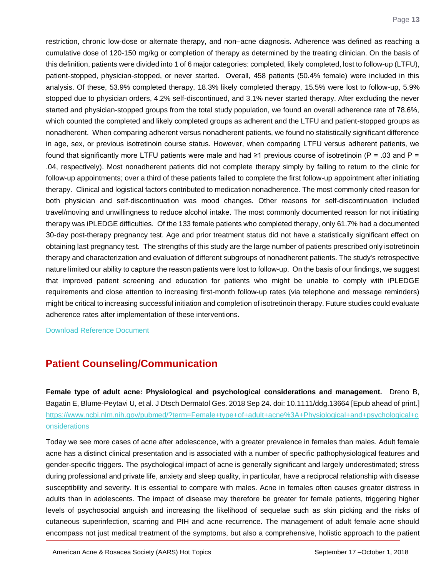restriction, chronic low-dose or alternate therapy, and non–acne diagnosis. Adherence was defined as reaching a cumulative dose of 120-150 mg/kg or completion of therapy as determined by the treating clinician. On the basis of this definition, patients were divided into 1 of 6 major categories: completed, likely completed, lost to follow-up (LTFU), patient-stopped, physician-stopped, or never started. Overall, 458 patients (50.4% female) were included in this analysis. Of these, 53.9% completed therapy, 18.3% likely completed therapy, 15.5% were lost to follow-up, 5.9% stopped due to physician orders, 4.2% self-discontinued, and 3.1% never started therapy. After excluding the never started and physician-stopped groups from the total study population, we found an overall adherence rate of 78.6%, which counted the completed and likely completed groups as adherent and the LTFU and patient-stopped groups as nonadherent. When comparing adherent versus nonadherent patients, we found no statistically significant difference in age, sex, or previous isotretinoin course status. However, when comparing LTFU versus adherent patients, we found that significantly more LTFU patients were male and had ≥1 previous course of isotretinoin ( $P = 0.03$  and  $P = 0$ .04, respectively). Most nonadherent patients did not complete therapy simply by failing to return to the clinic for follow-up appointments; over a third of these patients failed to complete the first follow-up appointment after initiating therapy. Clinical and logistical factors contributed to medication nonadherence. The most commonly cited reason for both physician and self-discontinuation was mood changes. Other reasons for self-discontinuation included travel/moving and unwillingness to reduce alcohol intake. The most commonly documented reason for not initiating therapy was iPLEDGE difficulties. Of the 133 female patients who completed therapy, only 61.7% had a documented 30-day post-therapy pregnancy test. Age and prior treatment status did not have a statistically significant effect on obtaining last pregnancy test. The strengths of this study are the large number of patients prescribed only isotretinoin therapy and characterization and evaluation of different subgroups of nonadherent patients. The study's retrospective nature limited our ability to capture the reason patients were lost to follow-up. On the basis of our findings, we suggest that improved patient screening and education for patients who might be unable to comply with iPLEDGE requirements and close attention to increasing first-month follow-up rates (via telephone and message reminders) might be critical to increasing successful initiation and completion of isotretinoin therapy. Future studies could evaluate adherence rates after implementation of these interventions.

[Download Reference Document](http://files.constantcontact.com/c2fa20d1101/7e20aeb1-46a5-4b3a-bd58-56cac283bee5.pdf)

## **Patient Counseling/Communication**

<span id="page-13-0"></span>**Female type of adult acne: Physiological and psychological considerations and management.** Dreno B, Bagatin E, Blume-Peytavi U, et al. J Dtsch Dermatol Ges. 2018 Sep 24. doi: 10.1111/ddg.13664 [Epub ahead of print.] [https://www.ncbi.nlm.nih.gov/pubmed/?term=Female+type+of+adult+acne%3A+Physiological+and+psychological+c](https://www.ncbi.nlm.nih.gov/pubmed/?term=Female+type+of+adult+acne%3A+Physiological+and+psychological+considerations) [onsiderations](https://www.ncbi.nlm.nih.gov/pubmed/?term=Female+type+of+adult+acne%3A+Physiological+and+psychological+considerations)

Today we see more cases of acne after adolescence, with a greater prevalence in females than males. Adult female acne has a distinct clinical presentation and is associated with a number of specific pathophysiological features and gender-specific triggers. The psychological impact of acne is generally significant and largely underestimated; stress during professional and private life, anxiety and sleep quality, in particular, have a reciprocal relationship with disease susceptibility and severity. It is essential to compare with males. Acne in females often causes greater distress in adults than in adolescents. The impact of disease may therefore be greater for female patients, triggering higher levels of psychosocial anguish and increasing the likelihood of sequelae such as skin picking and the risks of cutaneous superinfection, scarring and PIH and acne recurrence. The management of adult female acne should encompass not just medical treatment of the symptoms, but also a comprehensive, holistic approach to the patient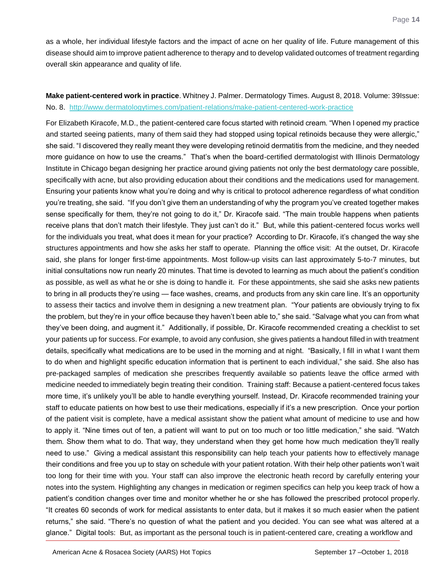as a whole, her individual lifestyle factors and the impact of acne on her quality of life. Future management of this disease should aim to improve patient adherence to therapy and to develop validated outcomes of treatment regarding overall skin appearance and quality of life.

### <span id="page-14-0"></span>**Make patient-centered work in practice**. Whitney J. Palmer. Dermatology Times. August 8, 2018. Volume: 39Issue: No. 8. <http://www.dermatologytimes.com/patient-relations/make-patient-centered-work-practice>

For Elizabeth Kiracofe, M.D., the patient-centered care focus started with retinoid cream. "When I opened my practice and started seeing patients, many of them said they had stopped using topical retinoids because they were allergic," she said. "I discovered they really meant they were developing retinoid dermatitis from the medicine, and they needed more guidance on how to use the creams." That's when the board-certified dermatologist with Illinois Dermatology Institute in Chicago began designing her practice around giving patients not only the best dermatology care possible, specifically with acne, but also providing education about their conditions and the medications used for management. Ensuring your patients know what you're doing and why is critical to protocol adherence regardless of what condition you're treating, she said. "If you don't give them an understanding of why the program you've created together makes sense specifically for them, they're not going to do it," Dr. Kiracofe said. "The main trouble happens when patients receive plans that don't match their lifestyle. They just can't do it." But, while this patient-centered focus works well for the individuals you treat, what does it mean for your practice? According to Dr. Kiracofe, it's changed the way she structures appointments and how she asks her staff to operate. Planning the office visit: At the outset, Dr. Kiracofe said, she plans for longer first-time appointments. Most follow-up visits can last approximately 5-to-7 minutes, but initial consultations now run nearly 20 minutes. That time is devoted to learning as much about the patient's condition as possible, as well as what he or she is doing to handle it. For these appointments, she said she asks new patients to bring in all products they're using — face washes, creams, and products from any skin care line. It's an opportunity to assess their tactics and involve them in designing a new treatment plan. "Your patients are obviously trying to fix the problem, but they're in your office because they haven't been able to," she said. "Salvage what you can from what they've been doing, and augment it." Additionally, if possible, Dr. Kiracofe recommended creating a checklist to set your patients up for success. For example, to avoid any confusion, she gives patients a handout filled in with treatment details, specifically what medications are to be used in the morning and at night. "Basically, I fill in what I want them to do when and highlight specific education information that is pertinent to each individual," she said. She also has pre-packaged samples of medication she prescribes frequently available so patients leave the office armed with medicine needed to immediately begin treating their condition. Training staff: Because a patient-centered focus takes more time, it's unlikely you'll be able to handle everything yourself. Instead, Dr. Kiracofe recommended training your staff to educate patients on how best to use their medications, especially if it's a new prescription. Once your portion of the patient visit is complete, have a medical assistant show the patient what amount of medicine to use and how to apply it. "Nine times out of ten, a patient will want to put on too much or too little medication," she said. "Watch them. Show them what to do. That way, they understand when they get home how much medication they'll really need to use." Giving a medical assistant this responsibility can help teach your patients how to effectively manage their conditions and free you up to stay on schedule with your patient rotation. With their help other patients won't wait too long for their time with you. Your staff can also improve the electronic heath record by carefully entering your notes into the system. Highlighting any changes in medication or regimen specifics can help you keep track of how a patient's condition changes over time and monitor whether he or she has followed the prescribed protocol properly. "It creates 60 seconds of work for medical assistants to enter data, but it makes it so much easier when the patient returns," she said. "There's no question of what the patient and you decided. You can see what was altered at a glance." Digital tools: But, as important as the personal touch is in patient-centered care, creating a workflow and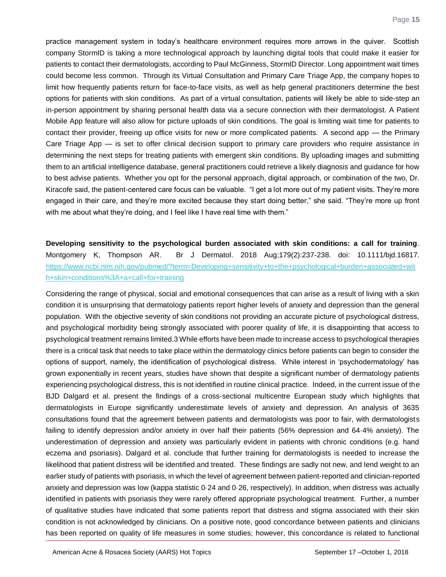practice management system in today's healthcare environment requires more arrows in the quiver. Scottish company StormID is taking a more technological approach by launching digital tools that could make it easier for patients to contact their dermatologists, according to Paul McGinness, StormID Director. Long appointment wait times could become less common. Through its Virtual Consultation and Primary Care Triage App, the company hopes to limit how frequently patients return for face-to-face visits, as well as help general practitioners determine the best options for patients with skin conditions. As part of a virtual consultation, patients will likely be able to side-step an in-person appointment by sharing personal health data via a secure connection with their dermatologist. A Patient Mobile App feature will also allow for picture uploads of skin conditions. The goal is limiting wait time for patients to contact their provider, freeing up office visits for new or more complicated patients. A second app — the Primary Care Triage App — is set to offer clinical decision support to primary care providers who require assistance in determining the next steps for treating patients with emergent skin conditions. By uploading images and submitting them to an artificial intelligence database, general practitioners could retrieve a likely diagnosis and guidance for how to best advise patients. Whether you opt for the personal approach, digital approach, or combination of the two, Dr. Kiracofe said, the patient-centered care focus can be valuable. "I get a lot more out of my patient visits. They're more engaged in their care, and they're more excited because they start doing better," she said. "They're more up front with me about what they're doing, and I feel like I have real time with them."

## <span id="page-15-0"></span>**Developing sensitivity to the psychological burden associated with skin conditions: a call for training**. Montgomery K, Thompson AR. Br J Dermatol. 2018 Aug;179(2):237-238. doi: 10.1111/bjd.16817. [https://www.ncbi.nlm.nih.gov/pubmed/?term=Developing+sensitivity+to+the+psychological+burden+associated+wit](https://www.ncbi.nlm.nih.gov/pubmed/?term=Developing+sensitivity+to+the+psychological+burden+associated+with+skin+conditions%3A+a+call+for+training) [h+skin+conditions%3A+a+call+for+training](https://www.ncbi.nlm.nih.gov/pubmed/?term=Developing+sensitivity+to+the+psychological+burden+associated+with+skin+conditions%3A+a+call+for+training)

Considering the range of physical, social and emotional consequences that can arise as a result of living with a skin condition it is unsurprising that dermatology patients report higher levels of anxiety and depression than the general population. With the objective severity of skin conditions not providing an accurate picture of psychological distress, and psychological morbidity being strongly associated with poorer quality of life, it is disappointing that access to psychological treatment remains limited.3 While efforts have been made to increase access to psychological therapies there is a critical task that needs to take place within the dermatology clinics before patients can begin to consider the options of support, namely, the identification of psychological distress. While interest in 'psychodermatology' has grown exponentially in recent years, studies have shown that despite a significant number of dermatology patients experiencing psychological distress, this is not identified in routine clinical practice. Indeed, in the current issue of the BJD Dalgard et al. present the findings of a cross‐sectional multicentre European study which highlights that dermatologists in Europe significantly underestimate levels of anxiety and depression. An analysis of 3635 consultations found that the agreement between patients and dermatologists was poor to fair, with dermatologists failing to identify depression and/or anxiety in over half their patients (56% depression and 64·4% anxiety). The underestimation of depression and anxiety was particularly evident in patients with chronic conditions (e.g. hand eczema and psoriasis). Dalgard et al. conclude that further training for dermatologists is needed to increase the likelihood that patient distress will be identified and treated. These findings are sadly not new, and lend weight to an earlier study of patients with psoriasis, in which the level of agreement between patient‐reported and clinician‐reported anxiety and depression was low (kappa statistic 0·24 and 0·26, respectively). In addition, when distress was actually identified in patients with psoriasis they were rarely offered appropriate psychological treatment. Further, a number of qualitative studies have indicated that some patients report that distress and stigma associated with their skin condition is not acknowledged by clinicians. On a positive note, good concordance between patients and clinicians has been reported on quality of life measures in some studies; however, this concordance is related to functional